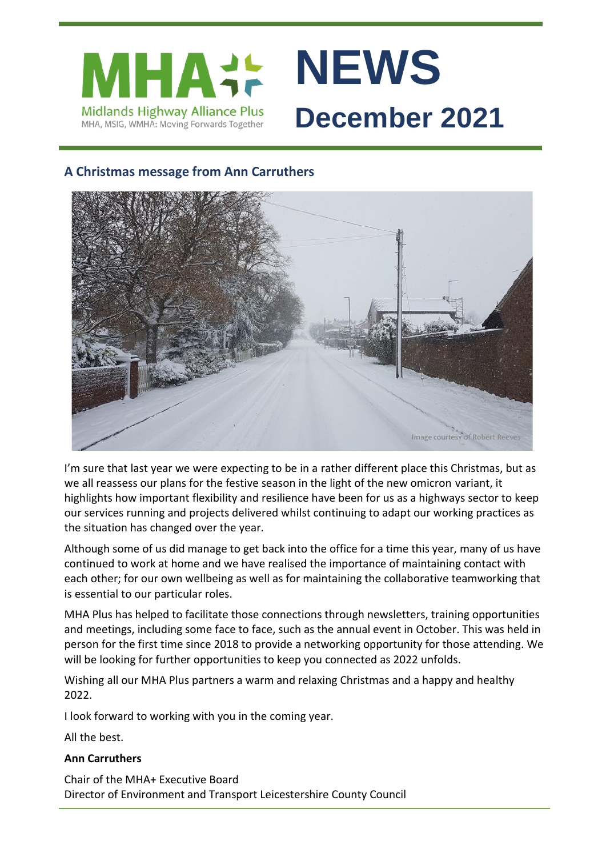

# **A Christmas message from Ann Carruthers**



I'm sure that last year we were expecting to be in a rather different place this Christmas, but as we all reassess our plans for the festive season in the light of the new omicron variant, it highlights how important flexibility and resilience have been for us as a highways sector to keep our services running and projects delivered whilst continuing to adapt our working practices as the situation has changed over the year.

Although some of us did manage to get back into the office for a time this year, many of us have continued to work at home and we have realised the importance of maintaining contact with each other; for our own wellbeing as well as for maintaining the collaborative teamworking that is essential to our particular roles.

MHA Plus has helped to facilitate those connections through newsletters, training opportunities and meetings, including some face to face, such as the annual event in October. This was held in person for the first time since 2018 to provide a networking opportunity for those attending. We will be looking for further opportunities to keep you connected as 2022 unfolds.

Wishing all our MHA Plus partners a warm and relaxing Christmas and a happy and healthy 2022.

I look forward to working with you in the coming year.

All the best.

#### **Ann Carruthers**

Chair of the MHA+ Executive Board Director of Environment and Transport Leicestershire County Council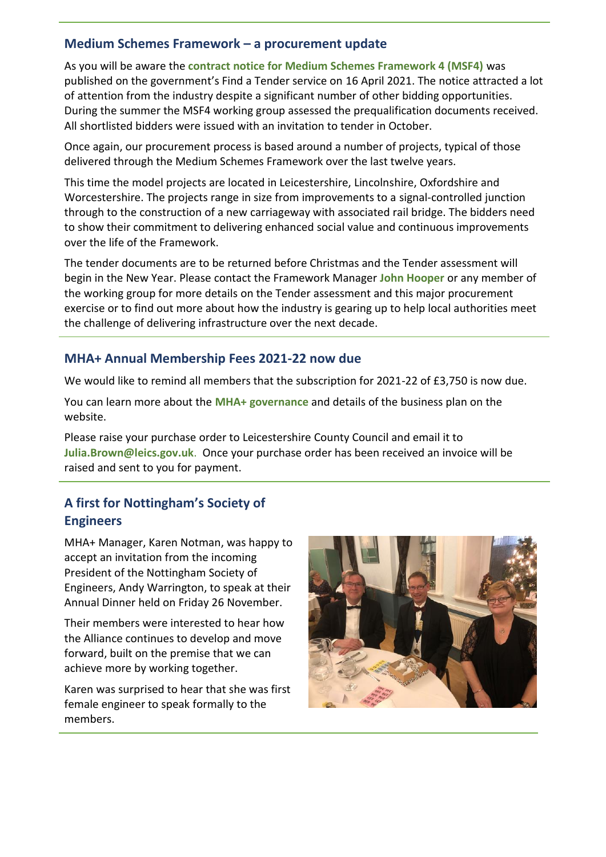### **Medium Schemes Framework – a procurement update**

As you will be aware the **[contract notice for Medium Schemes Framework 4 \(MSF4\)](https://www.find-tender.service.gov.uk/Notice/008029-2021)** was published on the government's Find a Tender service on 16 April 2021. The notice attracted a lot of attention from the industry despite a significant number of other bidding opportunities. During the summer the MSF4 working group assessed the prequalification documents received. All shortlisted bidders were issued with an invitation to tender in October.

Once again, our procurement process is based around a number of projects, typical of those delivered through the Medium Schemes Framework over the last twelve years.

This time the model projects are located in Leicestershire, Lincolnshire, Oxfordshire and Worcestershire. The projects range in size from improvements to a signal-controlled junction through to the construction of a new carriageway with associated rail bridge. The bidders need to show their commitment to delivering enhanced social value and continuous improvements over the life of the Framework.

The tender documents are to be returned before Christmas and the Tender assessment will begin in the New Year. Please contact the Framework Manager **[John Hooper](mailto:John.Hooper@leics.gov.uk?subject=MSF4)** or any member of the working group for more details on the Tender assessment and this major procurement exercise or to find out more about how the industry is gearing up to help local authorities meet the challenge of delivering infrastructure over the next decade.

# **MHA+ Annual Membership Fees 2021-22 now due**

We would like to remind all members that the subscription for 2021-22 of £3,750 is now due.

You can learn more about the **[MHA+ governance](https://www.mhaplus.org.uk/about-us/governance/)** and details of the business plan on the website.

Please raise your purchase order to Leicestershire County Council and email it to **[Julia.Brown@leics.gov.uk](mailto:Julia.Brown@leics.gov.uk)**. Once your purchase order has been received an invoice will be raised and sent to you for payment.

# **A first for Nottingham's Society of Engineers**

MHA+ Manager, Karen Notman, was happy to accept an invitation from the incoming President of the Nottingham Society of Engineers, Andy Warrington, to speak at their Annual Dinner held on Friday 26 November.

Their members were interested to hear how the Alliance continues to develop and move forward, built on the premise that we can achieve more by working together.

Karen was surprised to hear that she was first female engineer to speak formally to the members.

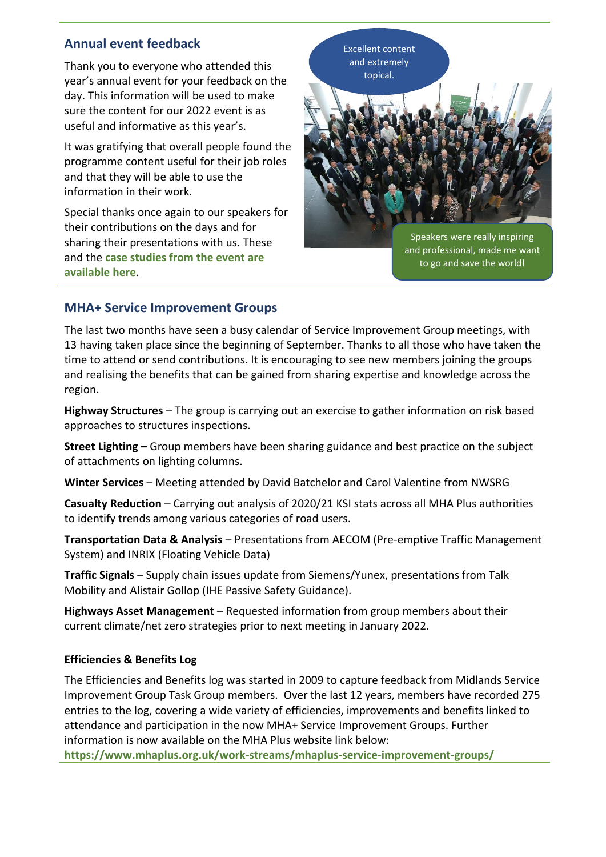### **Annual event feedback**

Thank you to everyone who attended this year's annual event for your feedback on the day. This information will be used to make sure the content for our 2022 event is as useful and informative as this year's.

It was gratifying that overall people found the programme content useful for their job roles and that they will be able to use the information in their work.

Special thanks once again to our speakers for their contributions on the days and for sharing their presentations with us. These and the **[case studies from the event are](https://www.mhaplus.org.uk/member/events/sustainability-and-carbon-reduction-annual-event-2021/#wpfb-cat-72)  [available](https://www.mhaplus.org.uk/member/events/sustainability-and-carbon-reduction-annual-event-2021/#wpfb-cat-72) here**.



### **MHA+ Service Improvement Groups**

The last two months have seen a busy calendar of Service Improvement Group meetings, with 13 having taken place since the beginning of September. Thanks to all those who have taken the time to attend or send contributions. It is encouraging to see new members joining the groups and realising the benefits that can be gained from sharing expertise and knowledge across the region.

**Highway Structures** – The group is carrying out an exercise to gather information on risk based approaches to structures inspections.

**Street Lighting –** Group members have been sharing guidance and best practice on the subject of attachments on lighting columns.

**Winter Services** – Meeting attended by David Batchelor and Carol Valentine from NWSRG

**Casualty Reduction** – Carrying out analysis of 2020/21 KSI stats across all MHA Plus authorities to identify trends among various categories of road users.

**Transportation Data & Analysis** – Presentations from AECOM (Pre-emptive Traffic Management System) and INRIX (Floating Vehicle Data)

**Traffic Signals** – Supply chain issues update from Siemens/Yunex, presentations from Talk Mobility and Alistair Gollop (IHE Passive Safety Guidance).

**Highways Asset Management** – Requested information from group members about their current climate/net zero strategies prior to next meeting in January 2022.

#### **Efficiencies & Benefits Log**

The Efficiencies and Benefits log was started in 2009 to capture feedback from Midlands Service Improvement Group Task Group members. Over the last 12 years, members have recorded 275 entries to the log, covering a wide variety of efficiencies, improvements and benefits linked to attendance and participation in the now MHA+ Service Improvement Groups. Further information is now available on the MHA Plus website link below:

**<https://www.mhaplus.org.uk/work-streams/mhaplus-service-improvement-groups/>**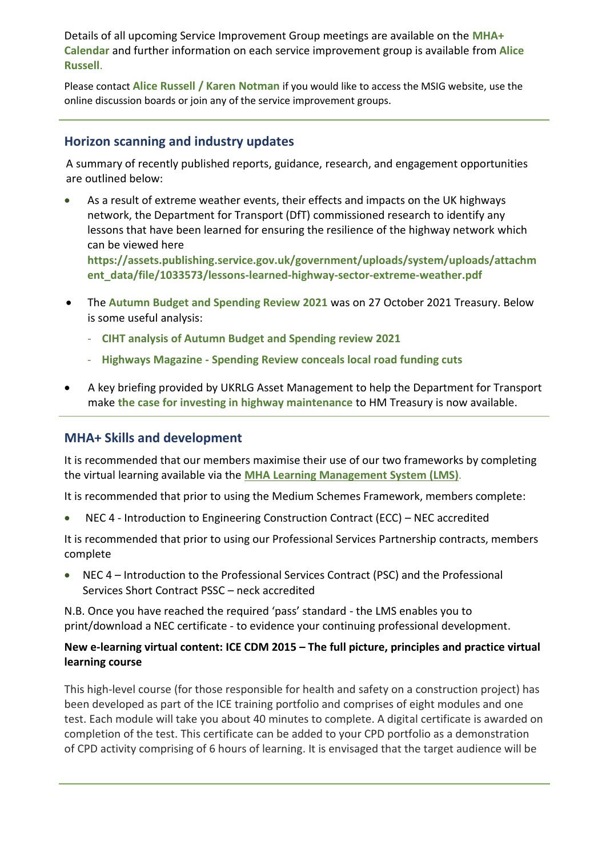Details of all upcoming Service Improvement Group meetings are available on the **[MHA+](https://www.mhaplus.org.uk/calendar/)  [Calendar](https://www.mhaplus.org.uk/calendar/)** and further information on each service improvement group is available from **[Alice](mailto:alice.russell@derbyshire.gov.uk)  [Russell](mailto:alice.russell@derbyshire.gov.uk)**.

Please contact **[Alice Russell](mailto:alice.russell@derbyshire.gov.uk) / [Karen Notman](mailto:Karen.Notman@leics.gov.uk)** if you would like to access the MSIG website, use the online discussion boards or join any of the service improvement groups.

### **Horizon scanning and industry updates**

A summary of recently published reports, guidance, research, and engagement opportunities are outlined below:

As a result of extreme weather events, their effects and impacts on the UK highways network, the Department for Transport (DfT) commissioned research to identify any lessons that have been learned for ensuring the resilience of the highway network which can be viewed here

**[https://assets.publishing.service.gov.uk/government/uploads/system/uploads/attachm](https://assets.publishing.service.gov.uk/government/uploads/system/uploads/attachment_data/file/1033573/lessons-learned-highway-sector-extreme-weather.pdf) [ent\\_data/file/1033573/lessons-learned-highway-sector-extreme-weather.pdf](https://assets.publishing.service.gov.uk/government/uploads/system/uploads/attachment_data/file/1033573/lessons-learned-highway-sector-extreme-weather.pdf)**

- The **[Autumn Budget and Spending Review 2021](https://assets.publishing.service.gov.uk/government/uploads/system/uploads/attachment_data/file/1029974/Budget_AB2021_Web_Accessible.pdf)** was on 27 October 2021 Treasury. Below is some useful analysis:
	- **[CIHT analysis of Autumn Budget and Spending review 2021](https://www.ciht.org.uk/news/ciht-analysis-of-autumn-budget-and-spending-review-2021/)**
	- **Highways Magazine - [Spending Review conceals local road funding cuts](https://www.highwaysmagazine.co.uk/Spending-Review-conceals-local-road-funding-cuts/9368)**
- A key briefing provided by UKRLG Asset Management to help the Department for Transport make **[the case for investing in highway maintenance](https://ukrlg.ciht.org.uk/uk-rlg-news-listings/the-case-for-investing-in-highway-maintenance/)** to HM Treasury is now available.

### **MHA+ Skills and development**

It is recommended that our members maximise their use of our two frameworks by completing the virtual learning available via the **[MHA Learning Management System \(LMS\)](https://mhaskills.virtual-college.co.uk/)**.

It is recommended that prior to using the Medium Schemes Framework, members complete:

• NEC 4 - Introduction to Engineering Construction Contract (ECC) – NEC accredited

It is recommended that prior to using our Professional Services Partnership contracts, members complete

• NEC 4 – Introduction to the Professional Services Contract (PSC) and the Professional Services Short Contract PSSC – neck accredited

N.B. Once you have reached the required 'pass' standard - the LMS enables you to print/download a NEC certificate - to evidence your continuing professional development.

### **New e-learning virtual content: ICE CDM 2015 – The full picture, principles and practice virtual learning course**

This high-level course (for those responsible for health and safety on a construction project) has been developed as part of the ICE training portfolio and comprises of eight modules and one test. Each module will take you about 40 minutes to complete. A digital certificate is awarded on completion of the test. This certificate can be added to your CPD portfolio as a demonstration of CPD activity comprising of 6 hours of learning. It is envisaged that the target audience will be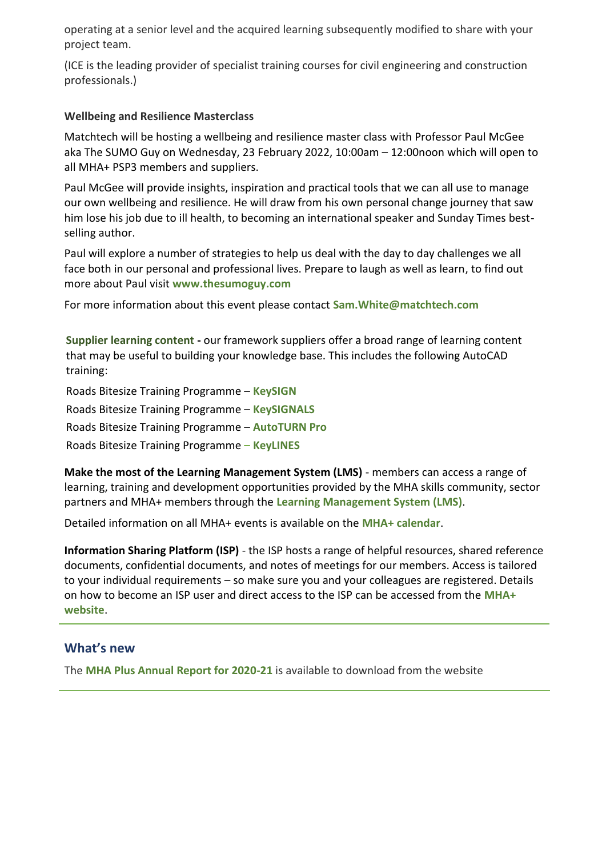operating at a senior level and the acquired learning subsequently modified to share with your project team.

(ICE is the leading provider of specialist training courses for civil engineering and construction professionals.)

#### **Wellbeing and Resilience Masterclass**

Matchtech will be hosting a wellbeing and resilience master class with Professor Paul McGee aka The SUMO Guy on Wednesday, 23 February 2022, 10:00am – 12:00noon which will open to all MHA+ PSP3 members and suppliers.

Paul McGee will provide insights, inspiration and practical tools that we can all use to manage our own wellbeing and resilience. He will draw from his own personal change journey that saw him lose his job due to ill health, to becoming an international speaker and Sunday Times bestselling author.

Paul will explore a number of strategies to help us deal with the day to day challenges we all face both in our personal and professional lives. Prepare to laugh as well as learn, to find out more about Paul visit **[www.thesumoguy.com](http://www.thesumoguy.com/)**

For more information about this event please contact **[Sam.White@matchtech.com](mailto:Sam.White@matchtech.com)**

**[Supplier learning content](https://www.mhaplus.org.uk/work-streams/skills-academy/learning-and-development/mha-supplier-learning-content/) -** our framework suppliers offer a broad range of learning content that may be useful to building your knowledge base. This includes the following AutoCAD training:

Roads Bitesize Training Programme – **[KeySIGN](https://youtu.be/KICiTRoQtgE)** Roads Bitesize Training Programme – **[KeySIGNALS](https://youtu.be/3la3Vq26Vmg)** Roads Bitesize Training Programme – **[AutoTURN Pro](https://youtu.be/kD0UCIoG60M)** Roads Bitesize Training Programme – **[KeyLINES](https://youtu.be/M_8TT4w6IQk)** 

**Make the most of the Learning Management System (LMS)** - members can access a range of learning, training and development opportunities provided by the MHA skills community, sector partners and MHA+ members through the **[Learning Management System \(LMS\)](https://www.mhaplus.org.uk/work-streams/skills-academy/learning-and-development/learning-management-system/)**.

Detailed information on all MHA+ events is available on the **[MHA+ calendar](https://www.mhaplus.org.uk/calendar/)**.

**Information Sharing Platform (ISP)** - the ISP hosts a range of helpful resources, shared reference documents, confidential documents, and notes of meetings for our members. Access is tailored to your individual requirements – so make sure you and your colleagues are registered. Details on how to become an ISP user and direct access to the ISP can be accessed from the **[MHA+](https://www.mhaplus.org.uk/member/)  [website](https://www.mhaplus.org.uk/member/)**.

#### **What's new**

The **[MHA Plus Annual Report for 2020-21](https://www.mhaplus.org.uk/download/news/annual_reports/V0393_MHA-ANNUAL-REPORT-2021-05acomp.pdf)** is available to download from the website